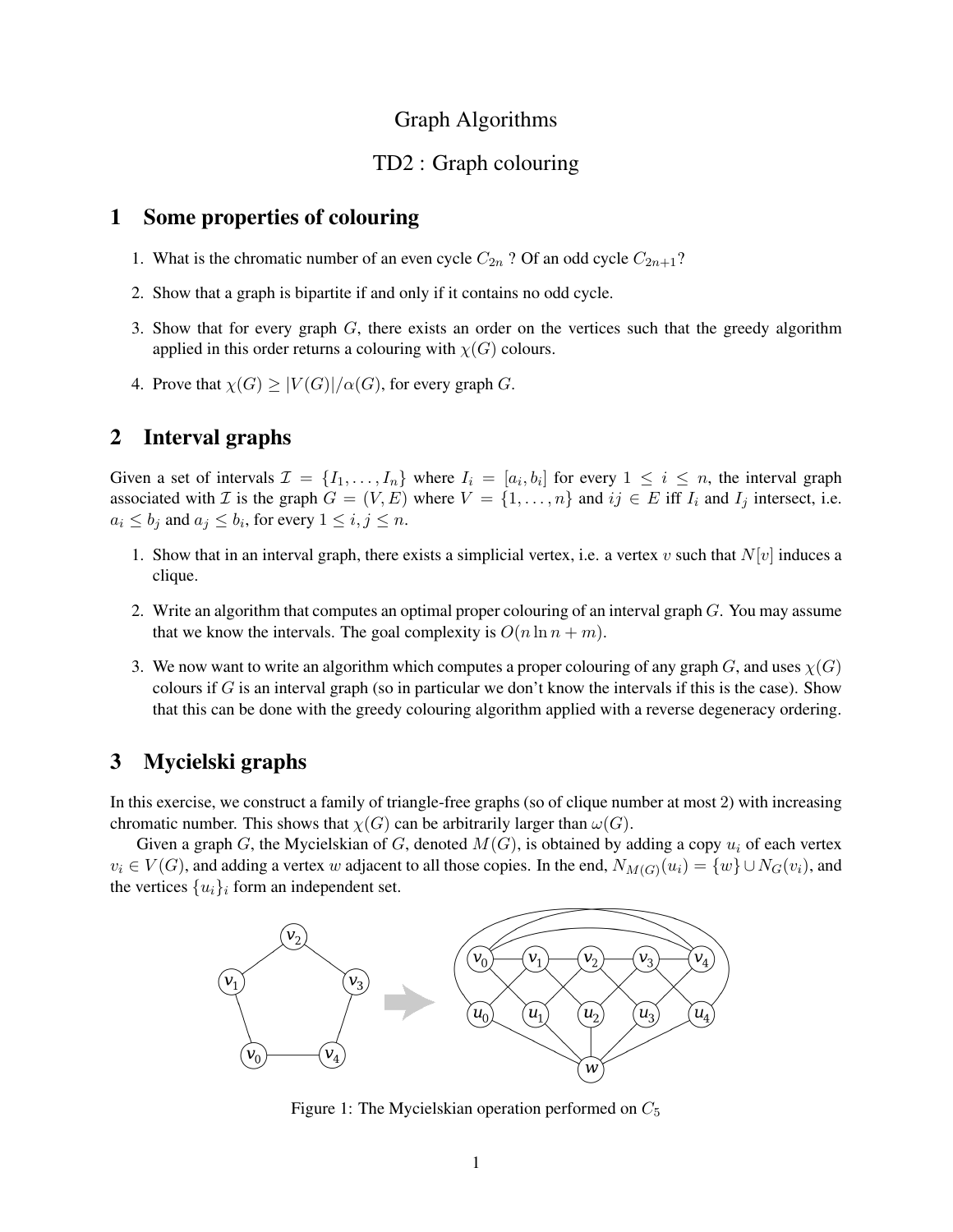## Graph Algorithms

## TD2 : Graph colouring

#### 1 Some properties of colouring

- 1. What is the chromatic number of an even cycle  $C_{2n}$  ? Of an odd cycle  $C_{2n+1}$ ?
- 2. Show that a graph is bipartite if and only if it contains no odd cycle.
- 3. Show that for every graph G, there exists an order on the vertices such that the greedy algorithm applied in this order returns a colouring with  $\chi(G)$  colours.
- 4. Prove that  $\chi(G) \geq |V(G)|/\alpha(G)$ , for every graph G.

# 2 Interval graphs

Given a set of intervals  $\mathcal{I} = \{I_1, \ldots, I_n\}$  where  $I_i = [a_i, b_i]$  for every  $1 \le i \le n$ , the interval graph associated with *I* is the graph  $G = (V, E)$  where  $V = \{1, \ldots, n\}$  and  $ij \in E$  iff  $I_i$  and  $I_j$  intersect, i.e.  $a_i \le b_j$  and  $a_j \le b_i$ , for every  $1 \le i, j \le n$ .

- 1. Show that in an interval graph, there exists a simplicial vertex, i.e. a vertex v such that  $N[v]$  induces a clique.
- 2. Write an algorithm that computes an optimal proper colouring of an interval graph G. You may assume that we know the intervals. The goal complexity is  $O(n \ln n + m)$ .
- 3. We now want to write an algorithm which computes a proper colouring of any graph G, and uses  $\chi(G)$ colours if  $G$  is an interval graph (so in particular we don't know the intervals if this is the case). Show that this can be done with the greedy colouring algorithm applied with a reverse degeneracy ordering.

## 3 Mycielski graphs

In this exercise, we construct a family of triangle-free graphs (so of clique number at most 2) with increasing chromatic number. This shows that  $\chi(G)$  can be arbitrarily larger than  $\omega(G)$ .

Given a graph G, the Mycielskian of G, denoted  $M(G)$ , is obtained by adding a copy  $u_i$  of each vertex  $v_i \in V(G)$ , and adding a vertex w adjacent to all those copies. In the end,  $N_{M(G)}(u_i) = \{w\} \cup N_G(v_i)$ , and the vertices  $\{u_i\}_i$  form an independent set.



Figure 1: The Mycielskian operation performed on  $C_5$